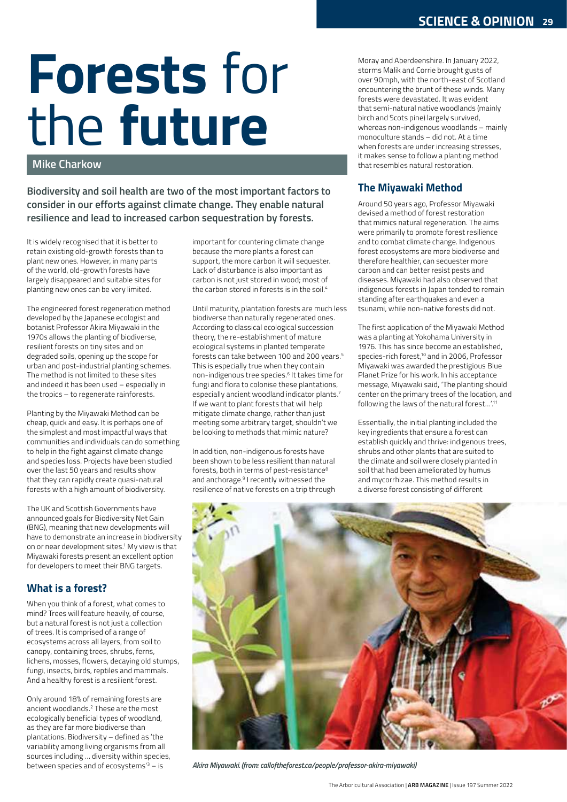# Forests for the future

#### Mike Charkow

Biodiversity and soil health are two of the most important factors to consider in our efforts against climate change. They enable natural resilience and lead to increased carbon sequestration by forests.

It is widely recognised that it is better to retain existing old-growth forests than to plant new ones. However, in many parts of the world, old-growth forests have largely disappeared and suitable sites for planting new ones can be very limited.

The engineered forest regeneration method developed by the Japanese ecologist and botanist Professor Akira Miyawaki in the 1970s allows the planting of biodiverse, resilient forests on tiny sites and on degraded soils, opening up the scope for urban and post-industrial planting schemes. The method is not limited to these sites and indeed it has been used – especially in the tropics – to regenerate rainforests.

Planting by the Miyawaki Method can be cheap, quick and easy. It is perhaps one of the simplest and most impactful ways that communities and individuals can do something to help in the fight against climate change and species loss. Projects have been studied over the last 50 years and results show that they can rapidly create quasi-natural forests with a high amount of biodiversity.

The UK and Scottish Governments have announced goals for Biodiversity Net Gain (BNG), meaning that new developments will have to demonstrate an increase in biodiversity on or near development sites.<sup>1</sup> My view is that **the contract of the state of the co** Miyawaki forests present an excellent option for developers to meet their BNG targets.

# What is a forest?

When you think of a forest, what comes to mind? Trees will feature heavily, of course, but a natural forest is not just a collection of trees. It is comprised of a range of ecosystems across all layers, from soil to canopy, containing trees, shrubs, ferns, lichens, mosses, flowers, decaying old stumps, fungi, insects, birds, reptiles and mammals. And a healthy forest is a resilient forest.

Only around 18% of remaining forests are ancient woodlands.2 These are the most ecologically beneficial types of woodland, as they are far more biodiverse than plantations. Biodiversity – defined as 'the variability among living organisms from all sources including … diversity within species, between species and of ecosystems'<sup>3</sup> – is *Akira Miyawo* 

important for countering climate change because the more plants a forest can support, the more carbon it will sequester. Lack of disturbance is also important as carbon is not just stored in wood; most of the carbon stored in forests is in the soil.4

Until maturity, plantation forests are much less biodiverse than naturally regenerated ones. According to classical ecological succession theory, the re-establishment of mature ecological systems in planted temperate forests can take between 100 and 200 years.<sup>5</sup> This is especially true when they contain non-indigenous tree species.<sup>6</sup> It takes time for Plane fungi and flora to colonise these plantations, especially ancient woodland indicator plants.<sup>7</sup> If we want to plant forests that will help mitigate climate change, rather than just meeting some arbitrary target, shouldn't we be looking to methods that mimic nature?

In addition, non-indigenous forests have been shown to be less resilient than natural forests, both in terms of pest-resistance<sup>8</sup> and anchorage.9 I recently witnessed the resilience of native forests on a trip through

Moray and Aberdeenshire. In January 2022, storms Malik and Corrie brought gusts of over 90mph, with the north-east of Scotland encountering the brunt of these winds. Many forests were devastated. It was evident that semi-natural native woodlands (mainly birch and Scots pine) largely survived, whereas non-indigenous woodlands – mainly monoculture stands – did not. At a time when forests are under increasing stresses, it makes sense to follow a planting method that resembles natural restoration.

# The Miyawaki Method

Around 50 years ago, Professor Miyawaki devised a method of forest restoration that mimics natural regeneration. The aims were primarily to promote forest resilience and to combat climate change. Indigenous forest ecosystems are more biodiverse and therefore healthier, can sequester more carbon and can better resist pests and diseases. Miyawaki had also observed that indigenous forests in Japan tended to remain standing after earthquakes and even a tsunami, while non-native forests did not.

The first application of the Miyawaki Method was a planting at Yokohama University in 1976. This has since become an established, species-rich forest,10 and in 2006, Professor Miyawaki was awarded the prestigious Blue Planet Prize for his work. In his acceptance message, Miyawaki said, 'The planting should center on the primary trees of the location, and following the laws of the natural forest…'.11

Essentially, the initial planting included the key ingredients that ensure a forest can establish quickly and thrive: indigenous trees, shrubs and other plants that are suited to the climate and soil were closely planted in soil that had been ameliorated by humus and mycorrhizae. This method results in a diverse forest consisting of different



Akira Miyawaki. (from: calloftheforest.ca/people/professor-akira-miyawaki)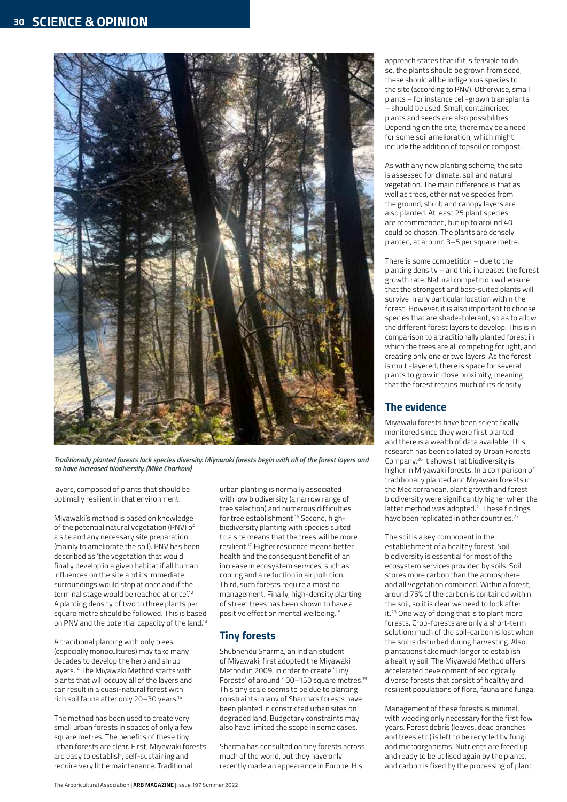

Traditionally planted forests lack species diversity. Miyawaki forests begin with all of the forest layers and so have increased biodiversity. (Mike Charkow)

layers, composed of plants that should be optimally resilient in that environment.

Miyawaki's method is based on knowledge of the potential natural vegetation (PNV) of a site and any necessary site preparation (mainly to ameliorate the soil). PNV has been described as 'the vegetation that would finally develop in a given habitat if all human influences on the site and its immediate surroundings would stop at once and if the terminal stage would be reached at once'.<sup>12</sup> A planting density of two to three plants per square metre should be followed. This is based on PNV and the potential capacity of the land.13

A traditional planting with only trees (especially monocultures) may take many decades to develop the herb and shrub layers.14 The Miyawaki Method starts with plants that will occupy all of the layers and can result in a quasi-natural forest with rich soil fauna after only 20–30 years.15

The method has been used to create very small urban forests in spaces of only a few square metres. The benefits of these tiny urban forests are clear. First, Miyawaki forests are easy to establish, self-sustaining and require very little maintenance. Traditional

urban planting is normally associated with low biodiversity (a narrow range of tree selection) and numerous difficulties for tree establishment.16 Second, highbiodiversity planting with species suited to a site means that the trees will be more resilient.17 Higher resilience means better health and the consequent benefit of an increase in ecosystem services, such as cooling and a reduction in air pollution. Third, such forests require almost no management. Finally, high-density planting of street trees has been shown to have a positive effect on mental wellbeing.18

## Tiny forests

Shubhendu Sharma, an Indian student of Miyawaki, first adopted the Miyawaki Method in 2009, in order to create 'Tiny Forests' of around 100–150 square metres.19 This tiny scale seems to be due to planting constraints: many of Sharma's forests have been planted in constricted urban sites on degraded land. Budgetary constraints may also have limited the scope in some cases.

Sharma has consulted on tiny forests across much of the world, but they have only recently made an appearance in Europe. His

approach states that if it is feasible to do so, the plants should be grown from seed; these should all be indigenous species to the site (according to PNV). Otherwise, small plants – for instance cell-grown transplants – should be used. Small, containerised plants and seeds are also possibilities. Depending on the site, there may be a need for some soil amelioration, which might include the addition of topsoil or compost.

As with any new planting scheme, the site is assessed for climate, soil and natural vegetation. The main difference is that as well as trees, other native species from the ground, shrub and canopy layers are also planted. At least 25 plant species are recommended, but up to around 40 could be chosen. The plants are densely planted, at around 3–5 per square metre.

There is some competition – due to the planting density – and this increases the forest growth rate. Natural competition will ensure that the strongest and best-suited plants will survive in any particular location within the forest. However, it is also important to choose species that are shade-tolerant, so as to allow the different forest layers to develop. This is in comparison to a traditionally planted forest in which the trees are all competing for light, and creating only one or two layers. As the forest is multi-layered, there is space for several plants to grow in close proximity, meaning that the forest retains much of its density.

## The evidence

Miyawaki forests have been scientifically monitored since they were first planted and there is a wealth of data available. This research has been collated by Urban Forests Company.20 It shows that biodiversity is higher in Miyawaki forests. In a comparison of traditionally planted and Miyawaki forests in the Mediterranean, plant growth and forest biodiversity were significantly higher when the latter method was adopted.<sup>21</sup> These findings have been replicated in other countries.<sup>22</sup>

The soil is a key component in the establishment of a healthy forest. Soil biodiversity is essential for most of the ecosystem services provided by soils. Soil stores more carbon than the atmosphere and all vegetation combined. Within a forest, around 75% of the carbon is contained within the soil, so it is clear we need to look after it.<sup>23</sup> One way of doing that is to plant more forests. Crop-forests are only a short-term solution: much of the soil-carbon is lost when the soil is disturbed during harvesting. Also, plantations take much longer to establish a healthy soil. The Miyawaki Method offers accelerated development of ecologically diverse forests that consist of healthy and resilient populations of flora, fauna and funga.

Management of these forests is minimal, with weeding only necessary for the first few years. Forest debris (leaves, dead branches and trees etc.) is left to be recycled by fungi and microorganisms. Nutrients are freed up and ready to be utilised again by the plants, and carbon is fixed by the processing of plant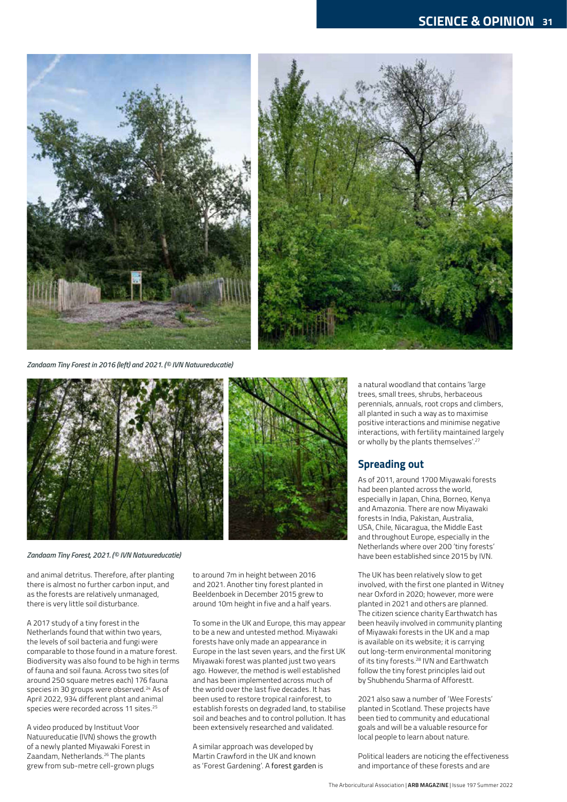

Zandaam Tiny Forest in 2016 (left) and 2021. (© IVN Natuureducatie)



Zandaam Tiny Forest, 2021. (© IVN Natuureducatie)

and animal detritus. Therefore, after planting there is almost no further carbon input, and as the forests are relatively unmanaged, there is very little soil disturbance.

A 2017 study of a tiny forest in the Netherlands found that within two years, the levels of soil bacteria and fungi were comparable to those found in a mature forest. Biodiversity was also found to be high in terms of fauna and soil fauna. Across two sites (of around 250 square metres each) 176 fauna species in 30 groups were observed.<sup>24</sup> As of April 2022, 934 different plant and animal species were recorded across 11 sites.<sup>25</sup>

A video produced by Instituut Voor Natuureducatie (IVN) shows the growth of a newly planted Miyawaki Forest in Zaandam, Netherlands.26 The plants grew from sub-metre cell-grown plugs

to around 7m in height between 2016 and 2021. Another tiny forest planted in Beeldenboek in December 2015 grew to around 10m height in five and a half years.

To some in the UK and Europe, this may appear to be a new and untested method. Miyawaki forests have only made an appearance in Europe in the last seven years, and the first UK Miyawaki forest was planted just two years ago. However, the method is well established and has been implemented across much of the world over the last five decades. It has been used to restore tropical rainforest, to establish forests on degraded land, to stabilise soil and beaches and to control pollution. It has been extensively researched and validated.

A similar approach was developed by Martin Crawford in the UK and known as 'Forest Gardening'. A forest garden is

a natural woodland that contains 'large trees, small trees, shrubs, herbaceous perennials, annuals, root crops and climbers, all planted in such a way as to maximise positive interactions and minimise negative interactions, with fertility maintained largely or wholly by the plants themselves'.<sup>27</sup>

#### Spreading out

As of 2011, around 1700 Miyawaki forests had been planted across the world, especially in Japan, China, Borneo, Kenya and Amazonia. There are now Miyawaki forests in India, Pakistan, Australia, USA, Chile, Nicaragua, the Middle East and throughout Europe, especially in the Netherlands where over 200 'tiny forests' have been established since 2015 by IVN.

The UK has been relatively slow to get involved, with the first one planted in Witney near Oxford in 2020; however, more were planted in 2021 and others are planned. The citizen science charity Earthwatch has been heavily involved in community planting of Miyawaki forests in the UK and a map is available on its website; it is carrying out long-term environmental monitoring of its tiny forests.28 IVN and Earthwatch follow the tiny forest principles laid out by Shubhendu Sharma of Afforestt.

2021 also saw a number of 'Wee Forests' planted in Scotland. These projects have been tied to community and educational goals and will be a valuable resource for local people to learn about nature.

Political leaders are noticing the effectiveness and importance of these forests and are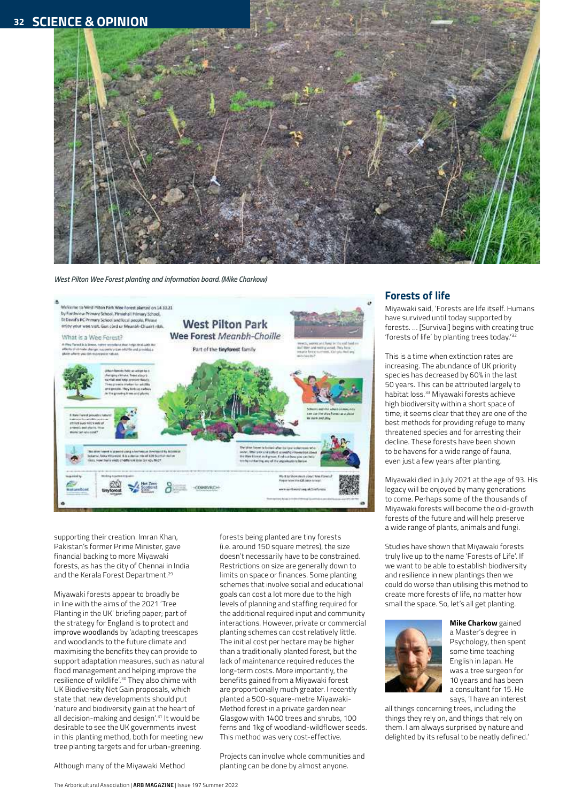# 32 SCIENCE & OPINION



#### West Pilton Wee Forest planting and information board. (Mike Charkow)



supporting their creation. Imran Khan, Pakistan's former Prime Minister, gave financial backing to more Miyawaki forests, as has the city of Chennai in India and the Kerala Forest Department.<sup>29</sup>

Miyawaki forests appear to broadly be in line with the aims of the 2021 'Tree Planting in the UK' briefing paper; part of the strategy for England is to protect and improve woodlands by 'adapting treescapes and woodlands to the future climate and maximising the benefits they can provide to support adaptation measures, such as natural flood management and helping improve the resilience of wildlife'.30 They also chime with UK Biodiversity Net Gain proposals, which state that new developments should put 'nature and biodiversity gain at the heart of all decision-making and design'.31 It would be desirable to see the UK governments invest in this planting method, both for meeting new tree planting targets and for urban-greening.

Although many of the Miyawaki Method

Projects can involve whole communities and planting can be done by almost anyone.

forests being planted are tiny forests (i.e. around 150 square metres), the size doesn't necessarily have to be constrained. Restrictions on size are generally down to limits on space or finances. Some planting schemes that involve social and educational goals can cost a lot more due to the high levels of planning and staffing required for the additional required input and community interactions. However, private or commercial planting schemes can cost relatively little. The initial cost per hectare may be higher than a traditionally planted forest, but the lack of maintenance required reduces the long-term costs. More importantly, the benefits gained from a Miyawaki forest are proportionally much greater. I recently planted a 500-square-metre Miyawaki-Method forest in a private garden near Glasgow with 1400 trees and shrubs, 100 ferns and 1kg of woodland-wildflower seeds. This method was very cost-effective.

#### Forests of life

Miyawaki said, 'Forests are life itself. Humans have survived until today supported by forests. … [Survival] begins with creating true 'forests of life' by planting trees today.'<sup>32</sup>

This is a time when extinction rates are increasing. The abundance of UK priority species has decreased by 60% in the last 50 years. This can be attributed largely to habitat loss.33 Miyawaki forests achieve high biodiversity within a short space of time; it seems clear that they are one of the best methods for providing refuge to many threatened species and for arresting their decline. These forests have been shown to be havens for a wide range of fauna, even just a few years after planting.

Miyawaki died in July 2021 at the age of 93. His legacy will be enjoyed by many generations to come. Perhaps some of the thousands of Miyawaki forests will become the old-growth forests of the future and will help preserve a wide range of plants, animals and fungi.

Studies have shown that Miyawaki forests truly live up to the name 'Forests of Life'. If we want to be able to establish biodiversity and resilience in new plantings then we could do worse than utilising this method to create more forests of life, no matter how small the space. So, let's all get planting.



**Mike Charkow** gained a Master's degree in Psychology, then spent some time teaching English in Japan. He was a tree surgeon for 10 years and has been a consultant for 15. He says, 'I have an interest

all things concerning trees, including the things they rely on, and things that rely on them. I am always surprised by nature and delighted by its refusal to be neatly defined.'